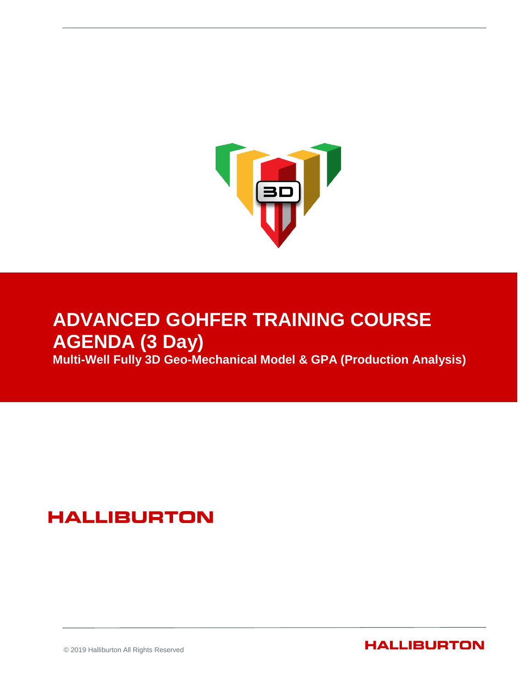

### **ADVANCED GOHFER TRAINING COURSE AGENDA (3 Day) Multi-Well Fully 3D Geo-Mechanical Model & GPA (Production Analysis)**

## **HALLIBURTON**

© 2019 Halliburton All Rights Reserved

**HALLIBURTON**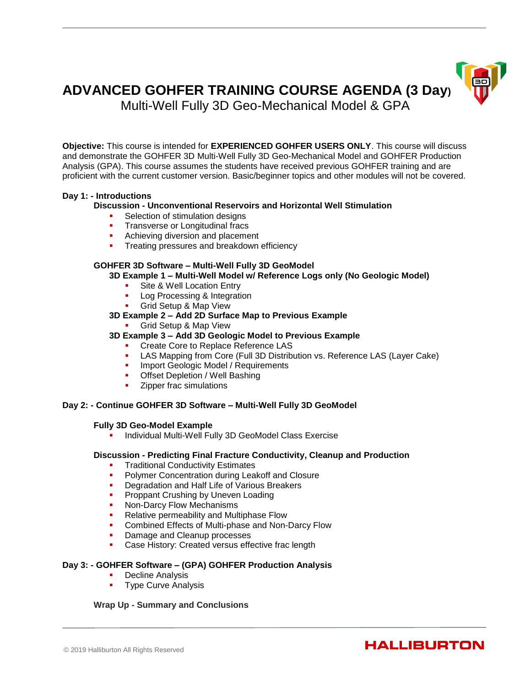# **ADVANCED GOHFER TRAINING COURSE AGENDA (3 Day)**



Multi-Well Fully 3D Geo-Mechanical Model & GPA

**Objective:** This course is intended for **EXPERIENCED GOHFER USERS ONLY**. This course will discuss and demonstrate the GOHFER 3D Multi-Well Fully 3D Geo-Mechanical Model and GOHFER Production Analysis (GPA). This course assumes the students have received previous GOHFER training and are proficient with the current customer version. Basic/beginner topics and other modules will not be covered.

#### **Day 1: - Introductions**

#### **Discussion - Unconventional Reservoirs and Horizontal Well Stimulation**

- Selection of stimulation designs
- **Transverse or Longitudinal fracs**
- Achieving diversion and placement
- Treating pressures and breakdown efficiency

#### **GOHFER 3D Software – Multi-Well Fully 3D GeoModel**

**3D Example 1 – Multi-Well Model w/ Reference Logs only (No Geologic Model)**

- Site & Well Location Entry
- Log Processing & Integration
- **Grid Setup & Map View**

#### **3D Example 2 – Add 2D Surface Map to Previous Example**

Grid Setup & Map View

#### **3D Example 3 – Add 3D Geologic Model to Previous Example**

- **Create Core to Replace Reference LAS**
- LAS Mapping from Core (Full 3D Distribution vs. Reference LAS (Layer Cake)
- Import Geologic Model / Requirements<br> **Offset Depletion / Well Bashing**
- Offset Depletion / Well Bashing
- Zipper frac simulations

#### **Day 2: - Continue GOHFER 3D Software – Multi-Well Fully 3D GeoModel**

#### **Fully 3D Geo-Model Example**

Individual Multi-Well Fully 3D GeoModel Class Exercise

#### **Discussion - Predicting Final Fracture Conductivity, Cleanup and Production**

- Traditional Conductivity Estimates
- Polymer Concentration during Leakoff and Closure
- **Degradation and Half Life of Various Breakers**
- **Proppant Crushing by Uneven Loading<br>• Non-Darcy Flow Mechanisms**
- Non-Darcy Flow Mechanisms
- **Relative permeability and Multiphase Flow**
- **Combined Effects of Multi-phase and Non-Darcy Flow**
- Damage and Cleanup processes
- Case History: Created versus effective frac length

#### **Day 3: - GOHFER Software – (GPA) GOHFER Production Analysis**

- Decline Analysis
- Type Curve Analysis

#### **Wrap Up - Summary and Conclusions**

### **HALLIBURTON**